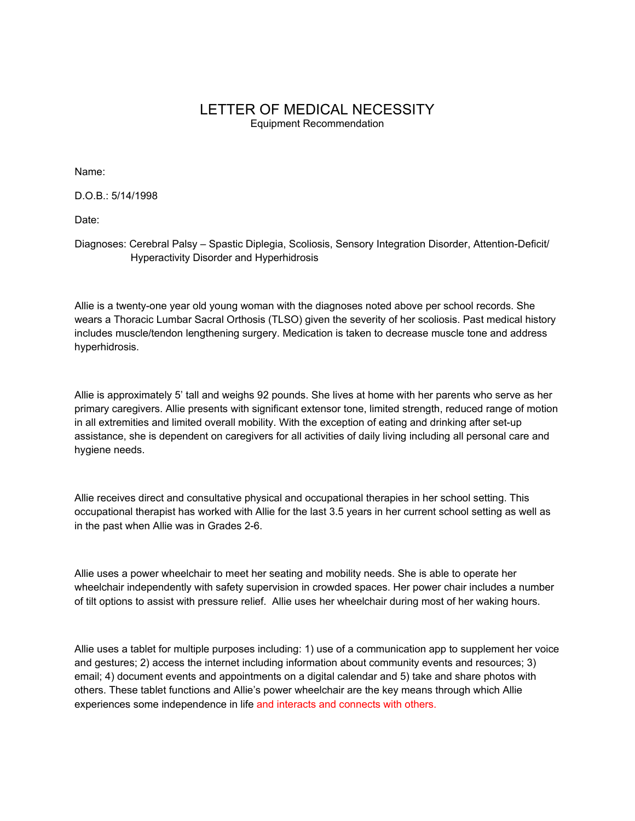# LETTER OF MEDICAL NECESSITY Equipment Recommendation

Name:

D.O.B.: 5/14/1998

Date:

Diagnoses: Cerebral Palsy – Spastic Diplegia, Scoliosis, Sensory Integration Disorder, Attention-Deficit/ Hyperactivity Disorder and Hyperhidrosis

Allie is a twenty-one year old young woman with the diagnoses noted above per school records. She wears a Thoracic Lumbar Sacral Orthosis (TLSO) given the severity of her scoliosis. Past medical history includes muscle/tendon lengthening surgery. Medication is taken to decrease muscle tone and address hyperhidrosis.

Allie is approximately 5' tall and weighs 92 pounds. She lives at home with her parents who serve as her primary caregivers. Allie presents with significant extensor tone, limited strength, reduced range of motion in all extremities and limited overall mobility. With the exception of eating and drinking after set-up assistance, she is dependent on caregivers for all activities of daily living including all personal care and hygiene needs.

Allie receives direct and consultative physical and occupational therapies in her school setting. This occupational therapist has worked with Allie for the last 3.5 years in her current school setting as well as in the past when Allie was in Grades 2-6.

Allie uses a power wheelchair to meet her seating and mobility needs. She is able to operate her wheelchair independently with safety supervision in crowded spaces. Her power chair includes a number of tilt options to assist with pressure relief. Allie uses her wheelchair during most of her waking hours.

Allie uses a tablet for multiple purposes including: 1) use of a communication app to supplement her voice and gestures; 2) access the internet including information about community events and resources; 3) email; 4) document events and appointments on a digital calendar and 5) take and share photos with others. These tablet functions and Allie's power wheelchair are the key means through which Allie experiences some independence in life and interacts and connects with others.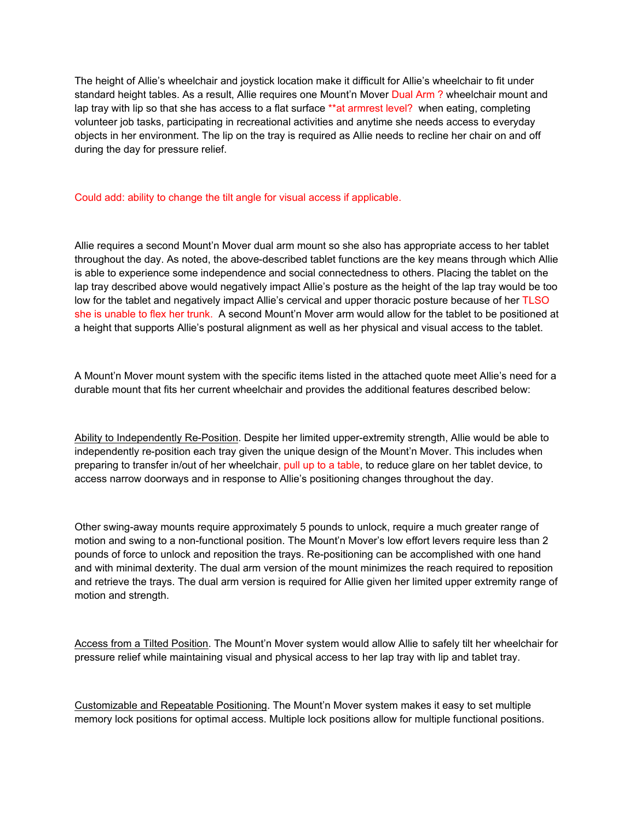The height of Allie's wheelchair and joystick location make it difficult for Allie's wheelchair to fit under standard height tables. As a result, Allie requires one Mount'n Mover Dual Arm ? wheelchair mount and lap tray with lip so that she has access to a flat surface \*\*at armrest level? when eating, completing volunteer job tasks, participating in recreational activities and anytime she needs access to everyday objects in her environment. The lip on the tray is required as Allie needs to recline her chair on and off during the day for pressure relief.

### Could add: ability to change the tilt angle for visual access if applicable.

Allie requires a second Mount'n Mover dual arm mount so she also has appropriate access to her tablet throughout the day. As noted, the above-described tablet functions are the key means through which Allie is able to experience some independence and social connectedness to others. Placing the tablet on the lap tray described above would negatively impact Allie's posture as the height of the lap tray would be too low for the tablet and negatively impact Allie's cervical and upper thoracic posture because of her TLSO she is unable to flex her trunk. A second Mount'n Mover arm would allow for the tablet to be positioned at a height that supports Allie's postural alignment as well as her physical and visual access to the tablet.

A Mount'n Mover mount system with the specific items listed in the attached quote meet Allie's need for a durable mount that fits her current wheelchair and provides the additional features described below:

Ability to Independently Re-Position. Despite her limited upper-extremity strength, Allie would be able to independently re-position each tray given the unique design of the Mount'n Mover. This includes when preparing to transfer in/out of her wheelchair, pull up to a table, to reduce glare on her tablet device, to access narrow doorways and in response to Allie's positioning changes throughout the day.

Other swing-away mounts require approximately 5 pounds to unlock, require a much greater range of motion and swing to a non-functional position. The Mount'n Mover's low effort levers require less than 2 pounds of force to unlock and reposition the trays. Re-positioning can be accomplished with one hand and with minimal dexterity. The dual arm version of the mount minimizes the reach required to reposition and retrieve the trays. The dual arm version is required for Allie given her limited upper extremity range of motion and strength.

Access from a Tilted Position. The Mount'n Mover system would allow Allie to safely tilt her wheelchair for pressure relief while maintaining visual and physical access to her lap tray with lip and tablet tray.

Customizable and Repeatable Positioning. The Mount'n Mover system makes it easy to set multiple memory lock positions for optimal access. Multiple lock positions allow for multiple functional positions.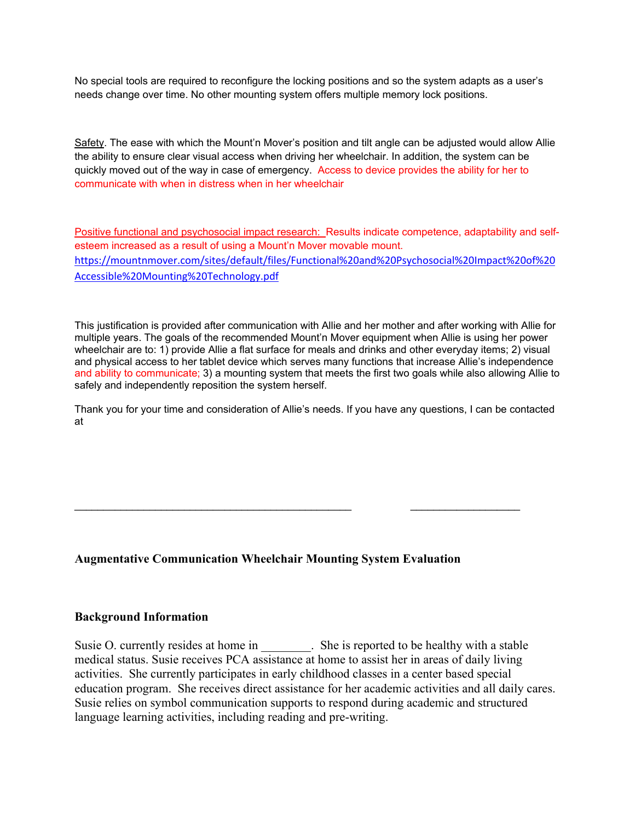No special tools are required to reconfigure the locking positions and so the system adapts as a user's needs change over time. No other mounting system offers multiple memory lock positions.

Safety. The ease with which the Mount'n Mover's position and tilt angle can be adjusted would allow Allie the ability to ensure clear visual access when driving her wheelchair. In addition, the system can be quickly moved out of the way in case of emergency. Access to device provides the ability for her to communicate with when in distress when in her wheelchair

Positive functional and psychosocial impact research: Results indicate competence, adaptability and selfesteem increased as a result of using a Mount'n Mover movable mount. [https://mountnmover.com/sites/default/files/Functional%20and%20Psychosocial%20Impact%20of%20](https://mountnmover.com/sites/default/files/Functional%20and%20Psychosocial%20Impact%20of%20Accessible%20Mounting%20Technology.pdf) [Accessible%20Mounting%20Technology.pdf](https://mountnmover.com/sites/default/files/Functional%20and%20Psychosocial%20Impact%20of%20Accessible%20Mounting%20Technology.pdf)

This justification is provided after communication with Allie and her mother and after working with Allie for multiple years. The goals of the recommended Mount'n Mover equipment when Allie is using her power wheelchair are to: 1) provide Allie a flat surface for meals and drinks and other everyday items; 2) visual and physical access to her tablet device which serves many functions that increase Allie's independence and ability to communicate; 3) a mounting system that meets the first two goals while also allowing Allie to safely and independently reposition the system herself.

Thank you for your time and consideration of Allie's needs. If you have any questions, I can be contacted at

\_\_\_\_\_\_\_\_\_\_\_\_\_\_\_\_\_\_\_\_\_\_\_\_\_\_\_\_\_\_\_\_\_\_\_\_\_\_\_\_\_\_\_\_\_\_\_\_ \_\_\_\_\_\_\_\_\_\_\_\_\_\_\_\_\_\_\_

# **Augmentative Communication Wheelchair Mounting System Evaluation**

## **Background Information**

Susie O. currently resides at home in \_\_\_\_\_\_\_\_. She is reported to be healthy with a stable medical status. Susie receives PCA assistance at home to assist her in areas of daily living activities. She currently participates in early childhood classes in a center based special education program. She receives direct assistance for her academic activities and all daily cares. Susie relies on symbol communication supports to respond during academic and structured language learning activities, including reading and pre-writing.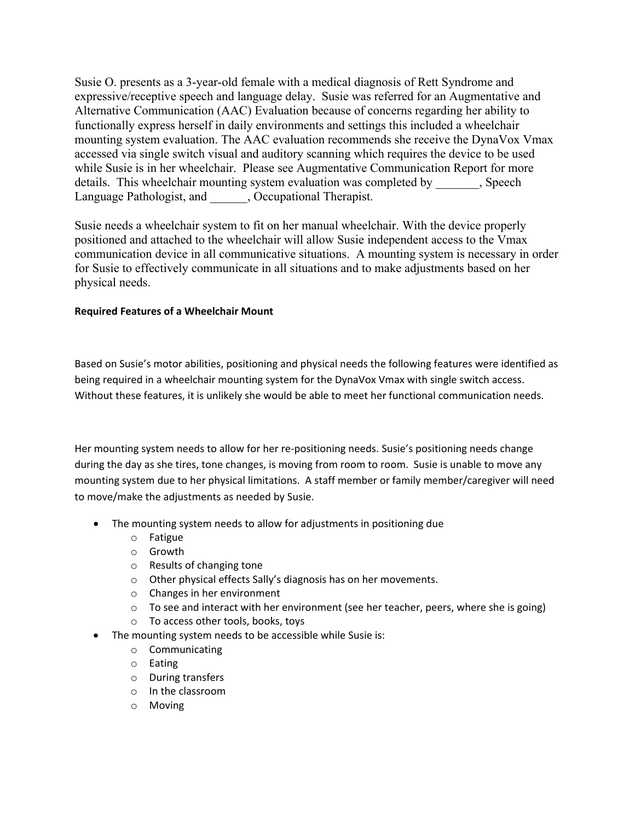Susie O. presents as a 3-year-old female with a medical diagnosis of Rett Syndrome and expressive/receptive speech and language delay. Susie was referred for an Augmentative and Alternative Communication (AAC) Evaluation because of concerns regarding her ability to functionally express herself in daily environments and settings this included a wheelchair mounting system evaluation. The AAC evaluation recommends she receive the DynaVox Vmax accessed via single switch visual and auditory scanning which requires the device to be used while Susie is in her wheelchair. Please see Augmentative Communication Report for more details. This wheelchair mounting system evaluation was completed by  $\qquad \qquad ,$  Speech Language Pathologist, and  $\qquad \qquad ,$  Occupational Therapist.

Susie needs a wheelchair system to fit on her manual wheelchair. With the device properly positioned and attached to the wheelchair will allow Susie independent access to the Vmax communication device in all communicative situations. A mounting system is necessary in order for Susie to effectively communicate in all situations and to make adjustments based on her physical needs.

## **Required Features of a Wheelchair Mount**

Based on Susie's motor abilities, positioning and physical needs the following features were identified as being required in a wheelchair mounting system for the DynaVox Vmax with single switch access. Without these features, it is unlikely she would be able to meet her functional communication needs.

Her mounting system needs to allow for her re-positioning needs. Susie's positioning needs change during the day as she tires, tone changes, is moving from room to room. Susie is unable to move any mounting system due to her physical limitations. A staff member or family member/caregiver will need to move/make the adjustments as needed by Susie.

- The mounting system needs to allow for adjustments in positioning due
	- o Fatigue
	- o Growth
	- o Results of changing tone
	- o Other physical effects Sally's diagnosis has on her movements.
	- o Changes in her environment
	- $\circ$  To see and interact with her environment (see her teacher, peers, where she is going)
	- o To access other tools, books, toys
- The mounting system needs to be accessible while Susie is:
	- o Communicating
	- o Eating
	- o During transfers
	- o In the classroom
	- o Moving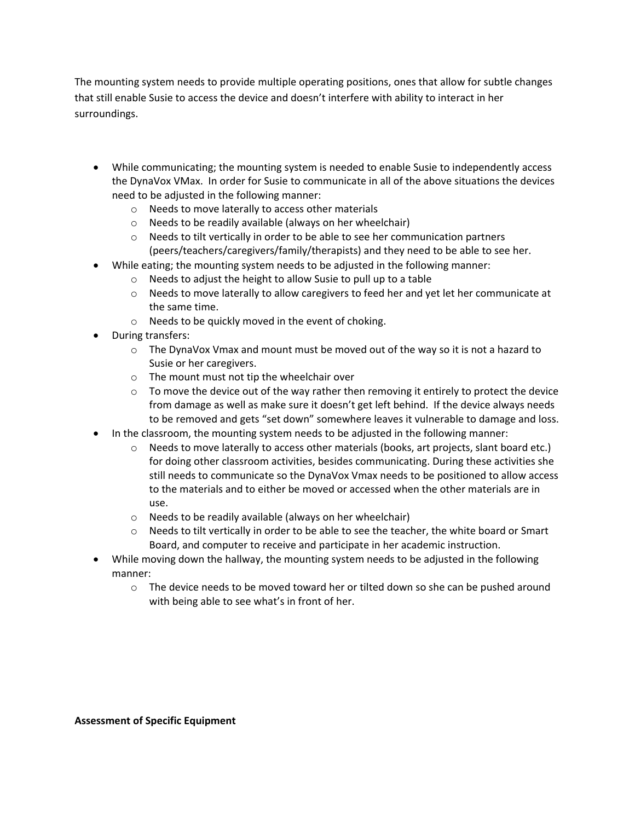The mounting system needs to provide multiple operating positions, ones that allow for subtle changes that still enable Susie to access the device and doesn't interfere with ability to interact in her surroundings.

- While communicating; the mounting system is needed to enable Susie to independently access the DynaVox VMax. In order for Susie to communicate in all of the above situations the devices need to be adjusted in the following manner:
	- o Needs to move laterally to access other materials
	- o Needs to be readily available (always on her wheelchair)
	- o Needs to tilt vertically in order to be able to see her communication partners (peers/teachers/caregivers/family/therapists) and they need to be able to see her.
- While eating; the mounting system needs to be adjusted in the following manner:
	- o Needs to adjust the height to allow Susie to pull up to a table
	- o Needs to move laterally to allow caregivers to feed her and yet let her communicate at the same time.
	- o Needs to be quickly moved in the event of choking.
- During transfers:
	- $\circ$  The DynaVox Vmax and mount must be moved out of the way so it is not a hazard to Susie or her caregivers.
	- o The mount must not tip the wheelchair over
	- $\circ$  To move the device out of the way rather then removing it entirely to protect the device from damage as well as make sure it doesn't get left behind. If the device always needs to be removed and gets "set down" somewhere leaves it vulnerable to damage and loss.
- In the classroom, the mounting system needs to be adjusted in the following manner:
	- o Needs to move laterally to access other materials (books, art projects, slant board etc.) for doing other classroom activities, besides communicating. During these activities she still needs to communicate so the DynaVox Vmax needs to be positioned to allow access to the materials and to either be moved or accessed when the other materials are in use.
	- o Needs to be readily available (always on her wheelchair)
	- $\circ$  Needs to tilt vertically in order to be able to see the teacher, the white board or Smart Board, and computer to receive and participate in her academic instruction.
- While moving down the hallway, the mounting system needs to be adjusted in the following manner:
	- $\circ$  The device needs to be moved toward her or tilted down so she can be pushed around with being able to see what's in front of her.

**Assessment of Specific Equipment**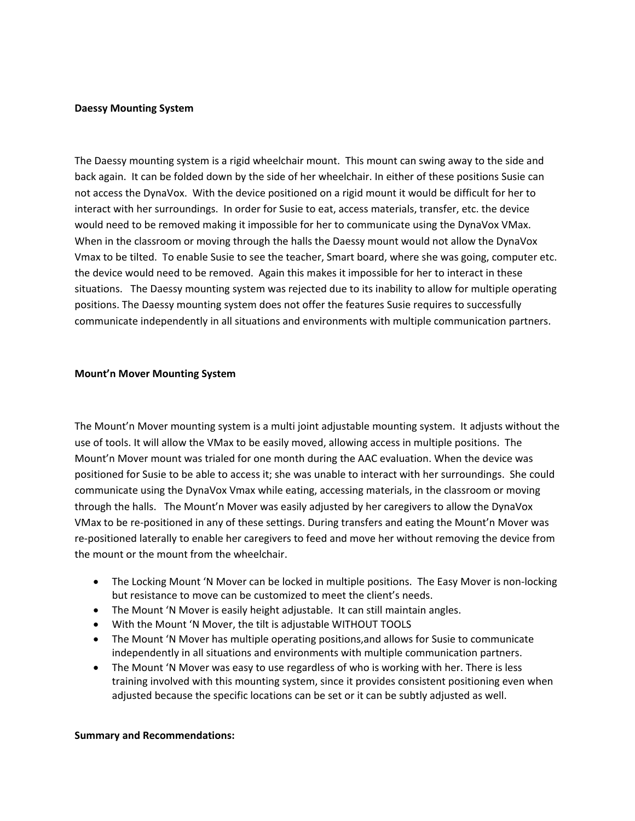#### **Daessy Mounting System**

The Daessy mounting system is a rigid wheelchair mount. This mount can swing away to the side and back again. It can be folded down by the side of her wheelchair. In either of these positions Susie can not access the DynaVox. With the device positioned on a rigid mount it would be difficult for her to interact with her surroundings. In order for Susie to eat, access materials, transfer, etc. the device would need to be removed making it impossible for her to communicate using the DynaVox VMax. When in the classroom or moving through the halls the Daessy mount would not allow the DynaVox Vmax to be tilted. To enable Susie to see the teacher, Smart board, where she was going, computer etc. the device would need to be removed. Again this makes it impossible for her to interact in these situations. The Daessy mounting system was rejected due to its inability to allow for multiple operating positions. The Daessy mounting system does not offer the features Susie requires to successfully communicate independently in all situations and environments with multiple communication partners.

#### **Mount'n Mover Mounting System**

The Mount'n Mover mounting system is a multi joint adjustable mounting system. It adjusts without the use of tools. It will allow the VMax to be easily moved, allowing access in multiple positions. The Mount'n Mover mount was trialed for one month during the AAC evaluation. When the device was positioned for Susie to be able to access it; she was unable to interact with her surroundings. She could communicate using the DynaVox Vmax while eating, accessing materials, in the classroom or moving through the halls. The Mount'n Mover was easily adjusted by her caregivers to allow the DynaVox VMax to be re-positioned in any of these settings. During transfers and eating the Mount'n Mover was re-positioned laterally to enable her caregivers to feed and move her without removing the device from the mount or the mount from the wheelchair.

- The Locking Mount 'N Mover can be locked in multiple positions. The Easy Mover is non-locking but resistance to move can be customized to meet the client's needs.
- The Mount 'N Mover is easily height adjustable. It can still maintain angles.
- With the Mount 'N Mover, the tilt is adjustable WITHOUT TOOLS
- The Mount 'N Mover has multiple operating positions,and allows for Susie to communicate independently in all situations and environments with multiple communication partners.
- The Mount 'N Mover was easy to use regardless of who is working with her. There is less training involved with this mounting system, since it provides consistent positioning even when adjusted because the specific locations can be set or it can be subtly adjusted as well.

### **Summary and Recommendations:**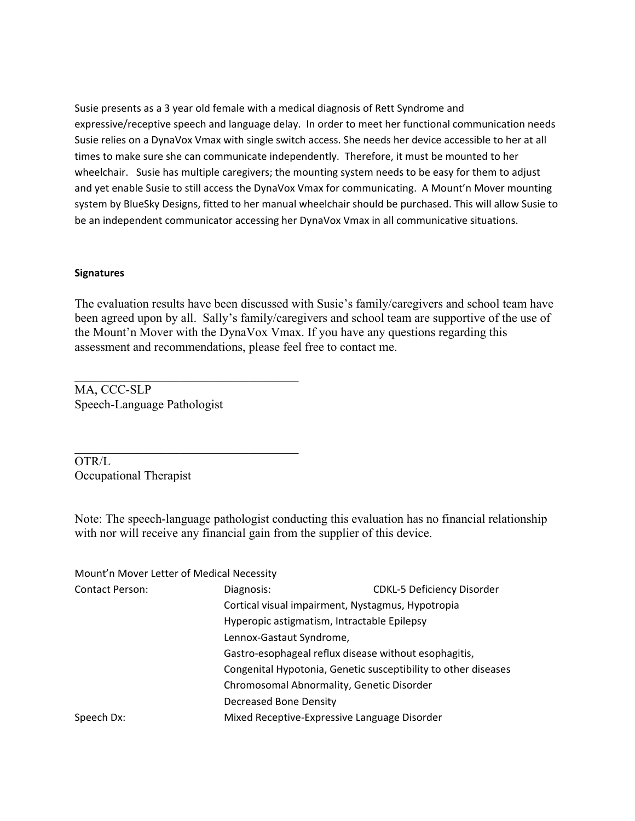Susie presents as a 3 year old female with a medical diagnosis of Rett Syndrome and expressive/receptive speech and language delay. In order to meet her functional communication needs Susie relies on a DynaVox Vmax with single switch access. She needs her device accessible to her at all times to make sure she can communicate independently. Therefore, it must be mounted to her wheelchair. Susie has multiple caregivers; the mounting system needs to be easy for them to adjust and yet enable Susie to still access the DynaVox Vmax for communicating. A Mount'n Mover mounting system by BlueSky Designs, fitted to her manual wheelchair should be purchased. This will allow Susie to be an independent communicator accessing her DynaVox Vmax in all communicative situations.

### **Signatures**

The evaluation results have been discussed with Susie's family/caregivers and school team have been agreed upon by all. Sally's family/caregivers and school team are supportive of the use of the Mount'n Mover with the DynaVox Vmax. If you have any questions regarding this assessment and recommendations, please feel free to contact me.

MA, CCC-SLP Speech-Language Pathologist

 $\_$  . The contribution of the contribution of  $\mathcal{L}_\mathcal{L}$ 

\_\_\_\_\_\_\_\_\_\_\_\_\_\_\_\_\_\_\_\_\_\_\_\_\_\_\_\_\_\_\_\_\_\_\_\_

OTR/L Occupational Therapist

Note: The speech-language pathologist conducting this evaluation has no financial relationship with nor will receive any financial gain from the supplier of this device.

Mount'n Mover Letter of Medical Necessity

| <b>Contact Person:</b> | Diagnosis:                                                     | <b>CDKL-5 Deficiency Disorder</b> |
|------------------------|----------------------------------------------------------------|-----------------------------------|
|                        | Cortical visual impairment, Nystagmus, Hypotropia              |                                   |
|                        | Hyperopic astigmatism, Intractable Epilepsy                    |                                   |
|                        | Lennox-Gastaut Syndrome,                                       |                                   |
|                        | Gastro-esophageal reflux disease without esophagitis,          |                                   |
|                        | Congenital Hypotonia, Genetic susceptibility to other diseases |                                   |
|                        | Chromosomal Abnormality, Genetic Disorder                      |                                   |
|                        | Decreased Bone Density                                         |                                   |
| Speech Dx:             | Mixed Receptive-Expressive Language Disorder                   |                                   |
|                        |                                                                |                                   |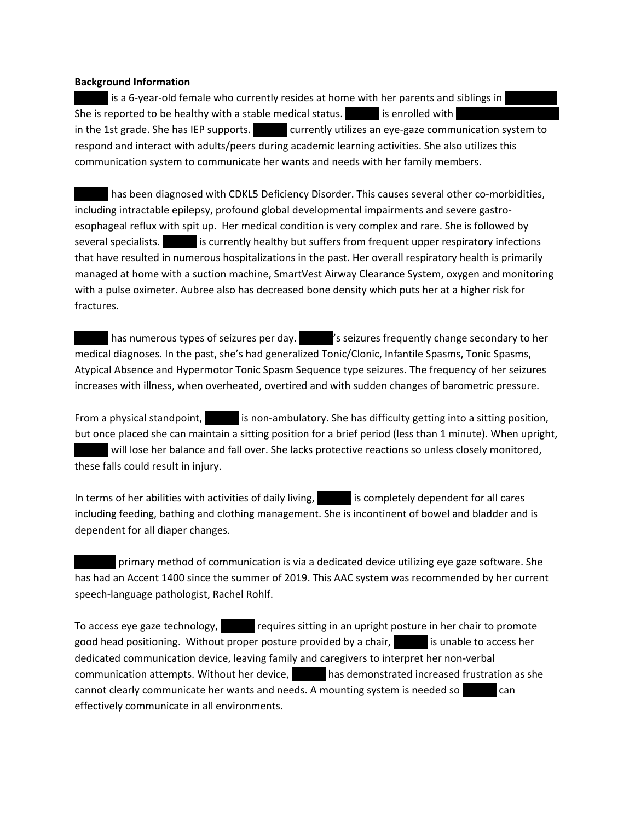### **Background Information**

Is a 6-year-old female who currently resides at home with her parents and siblings in She is reported to be healthy with a stable medical status. Aubus is enrolled with in the 1st grade. She has IEP supports. <br>  $\blacksquare$  currently utilizes an eye-gaze communication system to respond and interact with adults/peers during academic learning activities. She also utilizes this communication system to communicate her wants and needs with her family members.

has been diagnosed with CDKL5 Deficiency Disorder. This causes several other co-morbidities, including intractable epilepsy, profound global developmental impairments and severe gastroesophageal reflux with spit up. Her medical condition is very complex and rare. She is followed by several specialists.  $\blacksquare$  is currently healthy but suffers from frequent upper respiratory infections that have resulted in numerous hospitalizations in the past. Her overall respiratory health is primarily managed at home with a suction machine, SmartVest Airway Clearance System, oxygen and monitoring with a pulse oximeter. Aubree also has decreased bone density which puts her at a higher risk for fractures.

has numerous types of seizures per day.  $\blacksquare'$  is seizures frequently change secondary to her medical diagnoses. In the past, she's had generalized Tonic/Clonic, Infantile Spasms, Tonic Spasms, Atypical Absence and Hypermotor Tonic Spasm Sequence type seizures. The frequency of her seizures increases with illness, when overheated, overtired and with sudden changes of barometric pressure.

From a physical standpoint, is non-ambulatory. She has difficulty getting into a sitting position, but once placed she can maintain a sitting position for a brief period (less than 1 minute). When upright, will lose her balance and fall over. She lacks protective reactions so unless closely monitored, these falls could result in injury.

In terms of her abilities with activities of daily living, and is completely dependent for all cares including feeding, bathing and clothing management. She is incontinent of bowel and bladder and is dependent for all diaper changes.

primary method of communication is via a dedicated device utilizing eye gaze software. She has had an Accent 1400 since the summer of 2019. This AAC system was recommended by her current speech-language pathologist, Rachel Rohlf.

To access eye gaze technology, and requires sitting in an upright posture in her chair to promote good head positioning. Without proper posture provided by a chair, and is unable to access her dedicated communication device, leaving family and caregivers to interpret her non-verbal communication attempts. Without her device, Aubre has demonstrated increased frustration as she cannot clearly communicate her wants and needs. A mounting system is needed so can effectively communicate in all environments.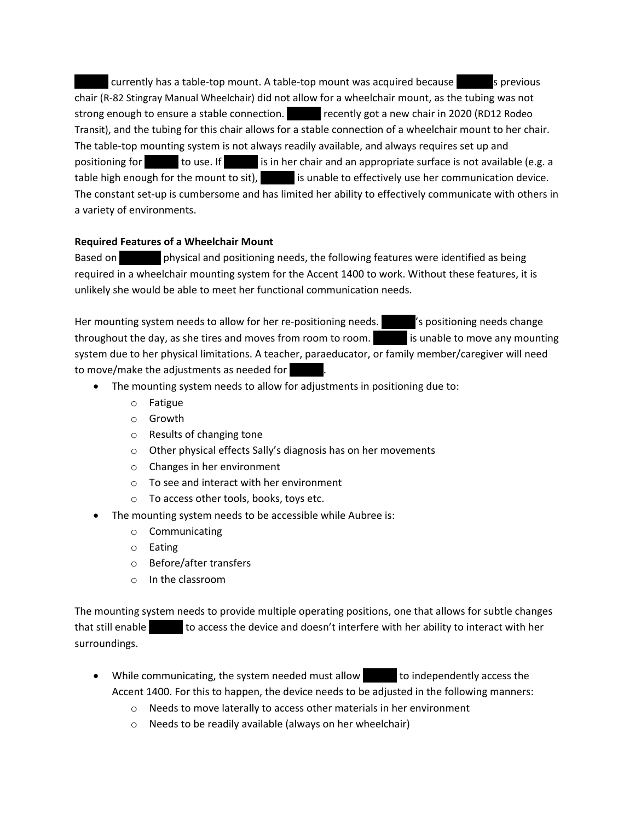currently has a table-top mount. A table-top mount was acquired because Aust previous chair (R-82 Stingray Manual Wheelchair) did not allow for a wheelchair mount, as the tubing was not strong enough to ensure a stable connection. <br>
Figure recently got a new chair in 2020 (RD12 Rodeo Transit), and the tubing for this chair allows for a stable connection of a wheelchair mount to her chair. The table-top mounting system is not always readily available, and always requires set up and positioning for **Aubre 1** to use. If **Aubre is in her chair and an appropriate surface is not available (e.g. a** table high enough for the mount to sit),  $\qquad \qquad$  is unable to effectively use her communication device. The constant set-up is cumbersome and has limited her ability to effectively communicate with others in a variety of environments.

# **Required Features of a Wheelchair Mount**

Based on **Aubree's physical and positioning needs, the following features were identified as being** required in a wheelchair mounting system for the Accent 1400 to work. Without these features, it is unlikely she would be able to meet her functional communication needs.

Her mounting system needs to allow for her re-positioning needs. Australianing needs change throughout the day, as she tires and moves from room to room. Aust is unable to move any mounting system due to her physical limitations. A teacher, paraeducator, or family member/caregiver will need to move/make the adjustments as needed for

- The mounting system needs to allow for adjustments in positioning due to:
	- o Fatigue
	- o Growth
	- o Results of changing tone
	- o Other physical effects Sally's diagnosis has on her movements
	- o Changes in her environment
	- o To see and interact with her environment
	- o To access other tools, books, toys etc.
- The mounting system needs to be accessible while Aubree is:
	- o Communicating
	- o Eating
	- o Before/after transfers
	- o In the classroom

The mounting system needs to provide multiple operating positions, one that allows for subtle changes that still enable  $\qquad \qquad$  to access the device and doesn't interfere with her ability to interact with her surroundings.

- While communicating, the system needed must allow to independently access the Accent 1400. For this to happen, the device needs to be adjusted in the following manners:
	- o Needs to move laterally to access other materials in her environment
	- o Needs to be readily available (always on her wheelchair)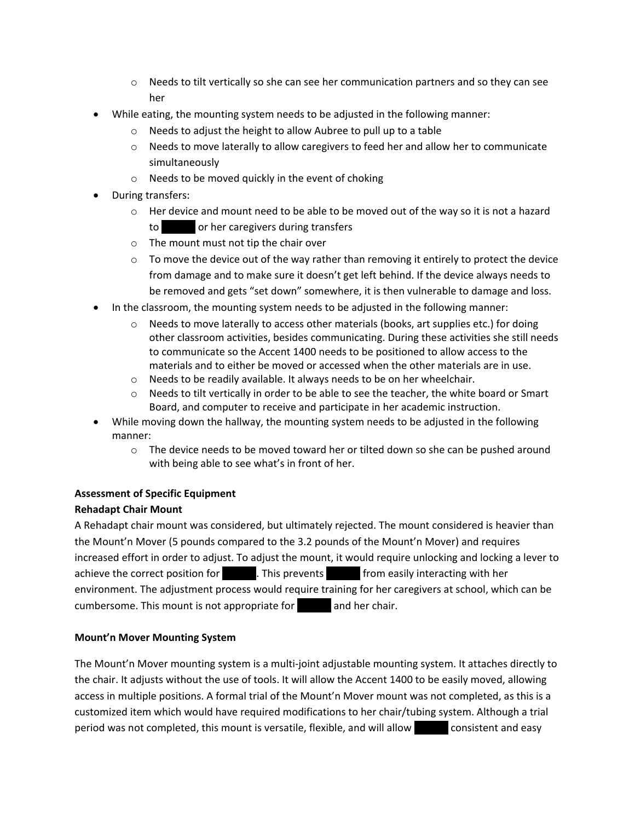- $\circ$  Needs to tilt vertically so she can see her communication partners and so they can see her
- While eating, the mounting system needs to be adjusted in the following manner:
	- o Needs to adjust the height to allow Aubree to pull up to a table
	- $\circ$  Needs to move laterally to allow caregivers to feed her and allow her to communicate simultaneously
	- o Needs to be moved quickly in the event of choking
- During transfers:
	- $\circ$  Her device and mount need to be able to be moved out of the way so it is not a hazard to **Aubre or her caregivers during transfers**
	- o The mount must not tip the chair over
	- $\circ$  To move the device out of the way rather than removing it entirely to protect the device from damage and to make sure it doesn't get left behind. If the device always needs to be removed and gets "set down" somewhere, it is then vulnerable to damage and loss.
- In the classroom, the mounting system needs to be adjusted in the following manner:
	- $\circ$  Needs to move laterally to access other materials (books, art supplies etc.) for doing other classroom activities, besides communicating. During these activities she still needs to communicate so the Accent 1400 needs to be positioned to allow access to the materials and to either be moved or accessed when the other materials are in use.
	- o Needs to be readily available. It always needs to be on her wheelchair.
	- o Needs to tilt vertically in order to be able to see the teacher, the white board or Smart Board, and computer to receive and participate in her academic instruction.
- While moving down the hallway, the mounting system needs to be adjusted in the following manner:
	- $\circ$  The device needs to be moved toward her or tilted down so she can be pushed around with being able to see what's in front of her.

# **Assessment of Specific Equipment Rehadapt Chair Mount**

A Rehadapt chair mount was considered, but ultimately rejected. The mount considered is heavier than the Mount'n Mover (5 pounds compared to the 3.2 pounds of the Mount'n Mover) and requires increased effort in order to adjust. To adjust the mount, it would require unlocking and locking a lever to achieve the correct position for Aubre 1. This prevents Audre from easily interacting with her environment. The adjustment process would require training for her caregivers at school, which can be cumbersome. This mount is not appropriate for and her chair.

# **Mount'n Mover Mounting System**

The Mount'n Mover mounting system is a multi-joint adjustable mounting system. It attaches directly to the chair. It adjusts without the use of tools. It will allow the Accent 1400 to be easily moved, allowing access in multiple positions. A formal trial of the Mount'n Mover mount was not completed, as this is a customized item which would have required modifications to her chair/tubing system. Although a trial period was not completed, this mount is versatile, flexible, and will allow consistent and easy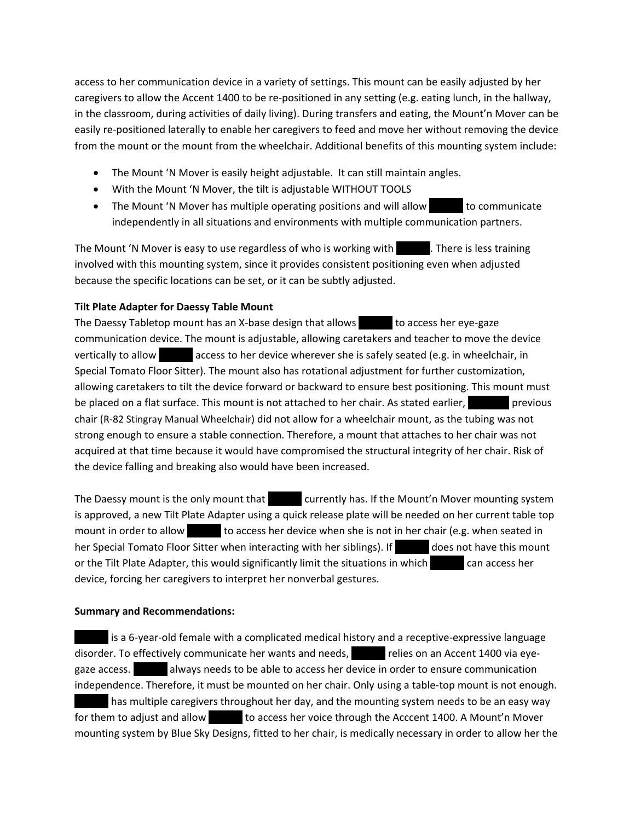access to her communication device in a variety of settings. This mount can be easily adjusted by her caregivers to allow the Accent 1400 to be re-positioned in any setting (e.g. eating lunch, in the hallway, in the classroom, during activities of daily living). During transfers and eating, the Mount'n Mover can be easily re-positioned laterally to enable her caregivers to feed and move her without removing the device from the mount or the mount from the wheelchair. Additional benefits of this mounting system include:

- The Mount 'N Mover is easily height adjustable. It can still maintain angles.
- With the Mount 'N Mover, the tilt is adjustable WITHOUT TOOLS
- The Mount 'N Mover has multiple operating positions and will allow to communicate independently in all situations and environments with multiple communication partners.

The Mount 'N Mover is easy to use regardless of who is working with Aubree. There is less training involved with this mounting system, since it provides consistent positioning even when adjusted because the specific locations can be set, or it can be subtly adjusted.

## **Tilt Plate Adapter for Daessy Table Mount**

The Daessy Tabletop mount has an X-base design that allows **Aubree 1** to access her eye-gaze communication device. The mount is adjustable, allowing caretakers and teacher to move the device vertically to allow access to her device wherever she is safely seated (e.g. in wheelchair, in Special Tomato Floor Sitter). The mount also has rotational adjustment for further customization, allowing caretakers to tilt the device forward or backward to ensure best positioning. This mount must be placed on a flat surface. This mount is not attached to her chair. As stated earlier, previous chair (R-82 Stingray Manual Wheelchair) did not allow for a wheelchair mount, as the tubing was not strong enough to ensure a stable connection. Therefore, a mount that attaches to her chair was not acquired at that time because it would have compromised the structural integrity of her chair. Risk of the device falling and breaking also would have been increased.

The Daessy mount is the only mount that **Augmond Currently has. If the Mount'n Mover mounting system** is approved, a new Tilt Plate Adapter using a quick release plate will be needed on her current table top mount in order to allow **Aubre 1** to access her device when she is not in her chair (e.g. when seated in her Special Tomato Floor Sitter when interacting with her siblings). If does not have this mount or the Tilt Plate Adapter, this would significantly limit the situations in which can access her device, forcing her caregivers to interpret her nonverbal gestures.

## **Summary and Recommendations:**

is a 6-year-old female with a complicated medical history and a receptive-expressive language disorder. To effectively communicate her wants and needs, The relies on an Accent 1400 via eyegaze access. All always needs to be able to access her device in order to ensure communication independence. Therefore, it must be mounted on her chair. Only using a table-top mount is not enough. has multiple caregivers throughout her day, and the mounting system needs to be an easy way for them to adjust and allow to access her voice through the Acccent 1400. A Mount'n Mover mounting system by Blue Sky Designs, fitted to her chair, is medically necessary in order to allow her the